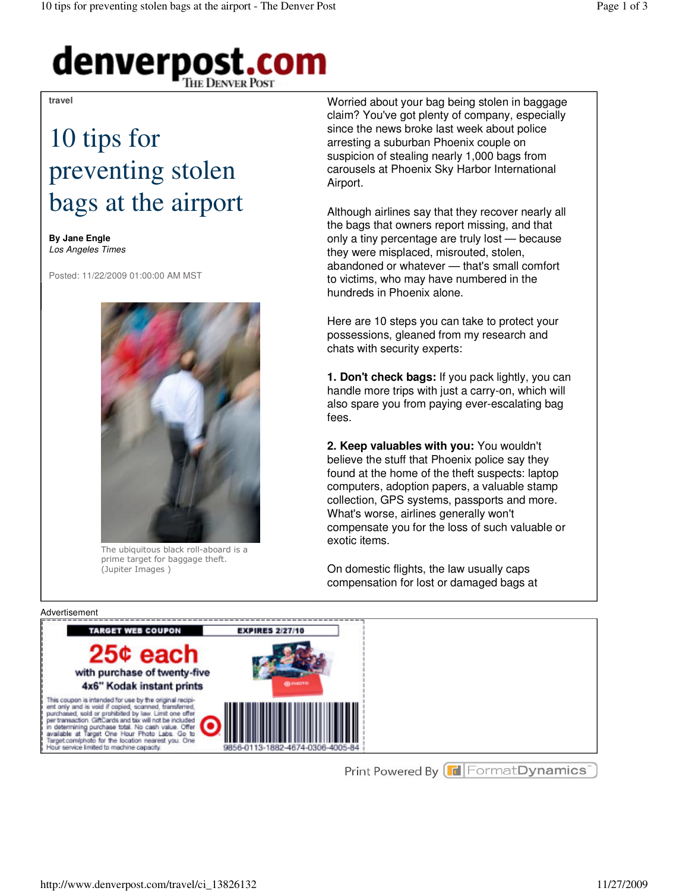# denverpost.com

#### **travel**

## 10 tips for preventing stolen bags at the airport

**By Jane Engle** Los Angeles Times

Posted: 11/22/2009 01:00:00 AM MST



The ubiquitous black roll-aboard is a prime target for baggage theft. (Jupiter Images )

Worried about your bag being stolen in baggage claim? You've got plenty of company, especially since the news broke last week about police arresting a suburban Phoenix couple on suspicion of stealing nearly 1,000 bags from carousels at Phoenix Sky Harbor International Airport.

Although airlines say that they recover nearly all the bags that owners report missing, and that only a tiny percentage are truly lost — because they were misplaced, misrouted, stolen, abandoned or whatever — that's small comfort to victims, who may have numbered in the hundreds in Phoenix alone.

Here are 10 steps you can take to protect your possessions, gleaned from my research and chats with security experts:

**1. Don't check bags:** If you pack lightly, you can handle more trips with just a carry-on, which will also spare you from paying ever-escalating bag fees.

**2. Keep valuables with you:** You wouldn't believe the stuff that Phoenix police say they found at the home of the theft suspects: laptop computers, adoption papers, a valuable stamp collection, GPS systems, passports and more. What's worse, airlines generally won't compensate you for the loss of such valuable or exotic items.

On domestic flights, the law usually caps compensation for lost or damaged bags at



Print Powered By **F** Format Dynamics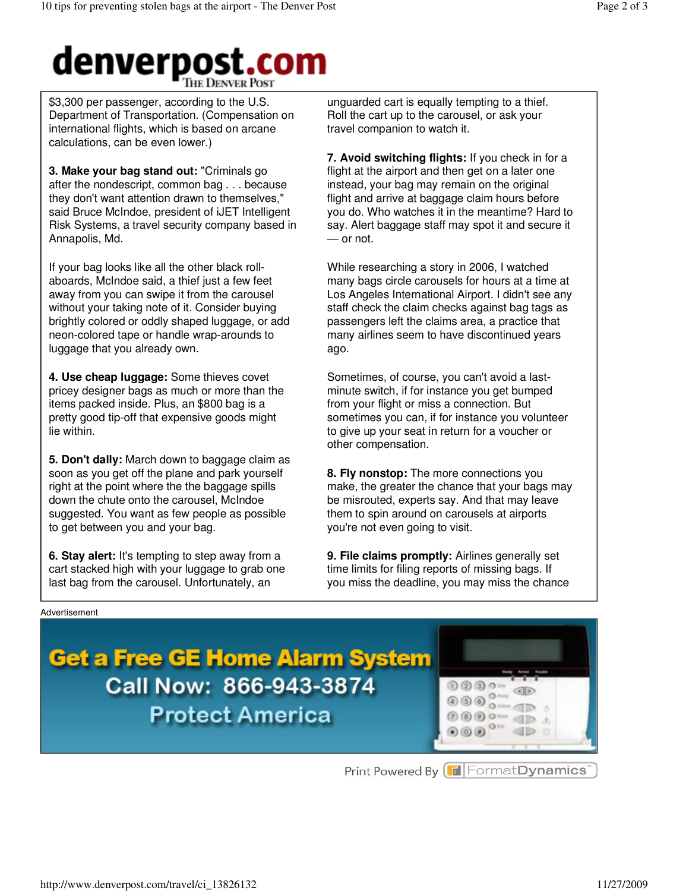### denverpost.com **THE DENVER POST**

\$3,300 per passenger, according to the U.S. Department of Transportation. (Compensation on international flights, which is based on arcane calculations, can be even lower.)

**3. Make your bag stand out:** "Criminals go after the nondescript, common bag . . . because they don't want attention drawn to themselves," said Bruce McIndoe, president of iJET Intelligent Risk Systems, a travel security company based in Annapolis, Md.

If your bag looks like all the other black rollaboards, McIndoe said, a thief just a few feet away from you can swipe it from the carousel without your taking note of it. Consider buying brightly colored or oddly shaped luggage, or add neon-colored tape or handle wrap-arounds to luggage that you already own.

**4. Use cheap luggage:** Some thieves covet pricey designer bags as much or more than the items packed inside. Plus, an \$800 bag is a pretty good tip-off that expensive goods might lie within.

**5. Don't dally:** March down to baggage claim as soon as you get off the plane and park yourself right at the point where the the baggage spills down the chute onto the carousel, McIndoe suggested. You want as few people as possible to get between you and your bag.

**6. Stay alert:** It's tempting to step away from a cart stacked high with your luggage to grab one last bag from the carousel. Unfortunately, an

unguarded cart is equally tempting to a thief. Roll the cart up to the carousel, or ask your travel companion to watch it.

**7. Avoid switching flights:** If you check in for a flight at the airport and then get on a later one instead, your bag may remain on the original flight and arrive at baggage claim hours before you do. Who watches it in the meantime? Hard to say. Alert baggage staff may spot it and secure it — or not.

While researching a story in 2006, I watched many bags circle carousels for hours at a time at Los Angeles International Airport. I didn't see any staff check the claim checks against bag tags as passengers left the claims area, a practice that many airlines seem to have discontinued years ago.

Sometimes, of course, you can't avoid a lastminute switch, if for instance you get bumped from your flight or miss a connection. But sometimes you can, if for instance you volunteer to give up your seat in return for a voucher or other compensation.

**8. Fly nonstop:** The more connections you make, the greater the chance that your bags may be misrouted, experts say. And that may leave them to spin around on carousels at airports you're not even going to visit.

**9. File claims promptly:** Airlines generally set time limits for filing reports of missing bags. If you miss the deadline, you may miss the chance

### Advertisement

## **Get a Free GE Home Alarm System** Call Now: 866-943-3874 **Protect America**

| $0$ $0$ $3$<br>(3)<br>000<br>$(2)$ $(3)$ $(2)$<br>⋒<br>$(0)$ $(0)$ |  |
|--------------------------------------------------------------------|--|

Print Powered By **F** Format Dynamics<sup>"</sup>